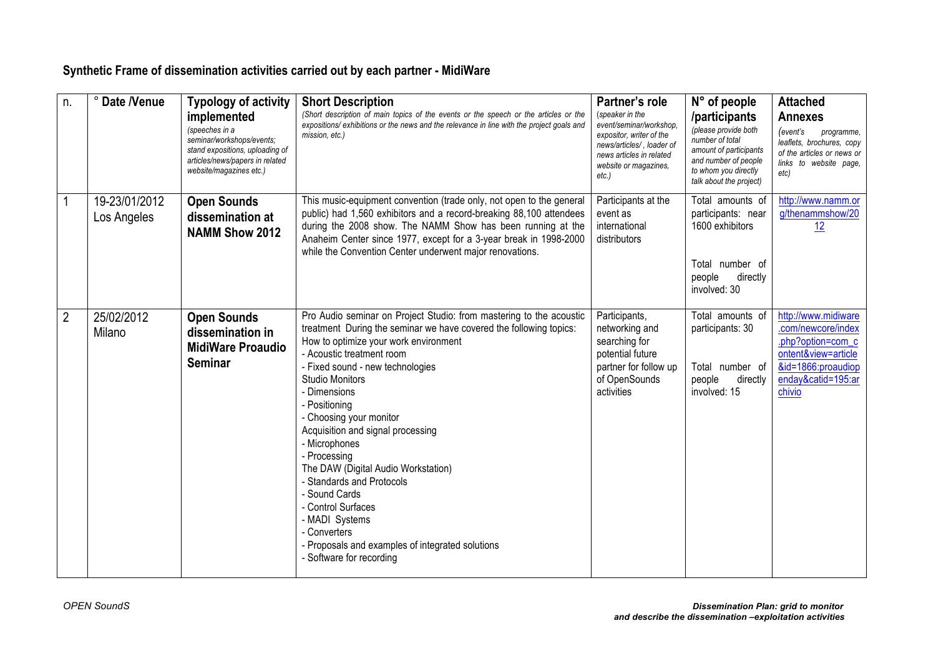## **Synthetic Frame of dissemination activities carried out by each partner - MidiWare**

| n.             | ° Date /Venue                | <b>Typology of activity</b><br>implemented<br>(speeches in a<br>seminar/workshops/events;<br>stand expositions, uploading of<br>articles/news/papers in related<br>website/magazines etc.) | <b>Short Description</b><br>(Short description of main topics of the events or the speech or the articles or the<br>expositions/ exhibitions or the news and the relevance in line with the project goals and<br>mission, etc.)                                                                                                                                                                                                                                                                                                                                                                                                              | Partner's role<br>(speaker in the<br>event/seminar/workshop.<br>expositor, writer of the<br>news/articles/, loader of<br>news articles in related<br>website or magazines,<br>etc.) | $N^{\circ}$ of people<br>/participants<br>(please provide both<br>number of total<br>amount of participants<br>and number of people<br>to whom you directly<br>talk about the project) | <b>Attached</b><br><b>Annexes</b><br>(event's<br>programme,<br>leaflets, brochures, copy<br>of the articles or news or<br>links to website page,<br>etc) |
|----------------|------------------------------|--------------------------------------------------------------------------------------------------------------------------------------------------------------------------------------------|----------------------------------------------------------------------------------------------------------------------------------------------------------------------------------------------------------------------------------------------------------------------------------------------------------------------------------------------------------------------------------------------------------------------------------------------------------------------------------------------------------------------------------------------------------------------------------------------------------------------------------------------|-------------------------------------------------------------------------------------------------------------------------------------------------------------------------------------|----------------------------------------------------------------------------------------------------------------------------------------------------------------------------------------|----------------------------------------------------------------------------------------------------------------------------------------------------------|
| 1              | 19-23/01/2012<br>Los Angeles | <b>Open Sounds</b><br>dissemination at<br><b>NAMM Show 2012</b>                                                                                                                            | This music-equipment convention (trade only, not open to the general<br>public) had 1,560 exhibitors and a record-breaking 88,100 attendees<br>during the 2008 show. The NAMM Show has been running at the<br>Anaheim Center since 1977, except for a 3-year break in 1998-2000<br>while the Convention Center underwent major renovations.                                                                                                                                                                                                                                                                                                  | Participants at the<br>event as<br>international<br>distributors                                                                                                                    | Total amounts of<br>participants: near<br>1600 exhibitors<br>Total number of<br>people<br>directly<br>involved: 30                                                                     | http://www.namm.or<br>g/thenammshow/20<br>12                                                                                                             |
| $\overline{2}$ | 25/02/2012<br>Milano         | <b>Open Sounds</b><br>dissemination in<br><b>MidiWare Proaudio</b><br><b>Seminar</b>                                                                                                       | Pro Audio seminar on Project Studio: from mastering to the acoustic<br>treatment During the seminar we have covered the following topics:<br>How to optimize your work environment<br>- Acoustic treatment room<br>- Fixed sound - new technologies<br><b>Studio Monitors</b><br>- Dimensions<br>- Positioning<br>- Choosing your monitor<br>Acquisition and signal processing<br>- Microphones<br>- Processing<br>The DAW (Digital Audio Workstation)<br>- Standards and Protocols<br>- Sound Cards<br>- Control Surfaces<br>- MADI Systems<br>- Converters<br>- Proposals and examples of integrated solutions<br>- Software for recording | Participants,<br>networking and<br>searching for<br>potential future<br>partner for follow up<br>of OpenSounds<br>activities                                                        | Total amounts of<br>participants: 30<br>Total number of<br>people<br>directly<br>involved: 15                                                                                          | http://www.midiware<br>.com/newcore/index<br>.php?option=com_c<br>ontent&view=article<br>&id=1866:proaudiop<br>enday&catid=195:ar<br>chivio              |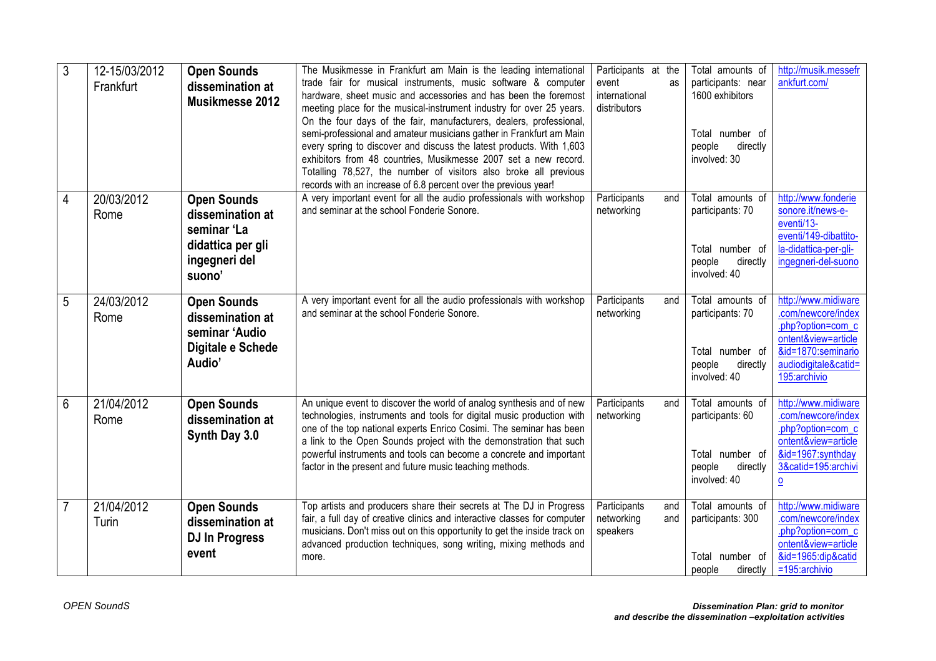| 3 | 12-15/03/2012<br>Frankfurt | <b>Open Sounds</b><br>dissemination at<br>Musikmesse 2012                                             | The Musikmesse in Frankfurt am Main is the leading international<br>trade fair for musical instruments, music software & computer<br>hardware, sheet music and accessories and has been the foremost<br>meeting place for the musical-instrument industry for over 25 years.<br>On the four days of the fair, manufacturers, dealers, professional,<br>semi-professional and amateur musicians gather in Frankfurt am Main<br>every spring to discover and discuss the latest products. With 1,603<br>exhibitors from 48 countries, Musikmesse 2007 set a new record.<br>Totalling 78,527, the number of visitors also broke all previous<br>records with an increase of 6.8 percent over the previous year! | Participants at the<br>event<br>as<br>international<br>distributors | Total amounts of<br>participants: near<br>1600 exhibitors<br>Total number of<br>directly<br>people<br>involved: 30 | http://musik.messefr<br>ankfurt.com/                                                                                                                |
|---|----------------------------|-------------------------------------------------------------------------------------------------------|--------------------------------------------------------------------------------------------------------------------------------------------------------------------------------------------------------------------------------------------------------------------------------------------------------------------------------------------------------------------------------------------------------------------------------------------------------------------------------------------------------------------------------------------------------------------------------------------------------------------------------------------------------------------------------------------------------------|---------------------------------------------------------------------|--------------------------------------------------------------------------------------------------------------------|-----------------------------------------------------------------------------------------------------------------------------------------------------|
| 4 | 20/03/2012<br>Rome         | <b>Open Sounds</b><br>dissemination at<br>seminar 'La<br>didattica per gli<br>ingegneri del<br>suono' | A very important event for all the audio professionals with workshop<br>and seminar at the school Fonderie Sonore.                                                                                                                                                                                                                                                                                                                                                                                                                                                                                                                                                                                           | Participants<br>and<br>networking                                   | Total amounts of<br>participants: 70<br>Total number of<br>directly<br>people<br>involved: 40                      | http://www.fonderie<br>sonore.it/news-e-<br>eventi/13-<br>eventi/149-dibattito-<br>la-didattica-per-gli-<br>ingegneri-del-suono                     |
| 5 | 24/03/2012<br>Rome         | <b>Open Sounds</b><br>dissemination at<br>seminar 'Audio<br>Digitale e Schede<br>Audio'               | A very important event for all the audio professionals with workshop<br>and seminar at the school Fonderie Sonore.                                                                                                                                                                                                                                                                                                                                                                                                                                                                                                                                                                                           | Participants<br>and<br>networking                                   | Total amounts of<br>participants: 70<br>Total number of<br>people<br>directly<br>involved: 40                      | http://www.midiware<br>.com/newcore/index<br>.php?option=com_c<br>ontent&view=article<br>&id=1870:seminario<br>audiodigitale&catid=<br>195:archivio |
| 6 | 21/04/2012<br>Rome         | <b>Open Sounds</b><br>dissemination at<br>Synth Day 3.0                                               | An unique event to discover the world of analog synthesis and of new<br>technologies, instruments and tools for digital music production with<br>one of the top national experts Enrico Cosimi. The seminar has been<br>a link to the Open Sounds project with the demonstration that such<br>powerful instruments and tools can become a concrete and important<br>factor in the present and future music teaching methods.                                                                                                                                                                                                                                                                                 | Participants<br>and<br>networking                                   | Total amounts of<br>participants: 60<br>Total number of<br>people<br>directly<br>involved: 40                      | http://www.midiware<br>.com/newcore/index<br>.php?option=com_c<br>ontent&view=article<br>&id=1967:synthday<br>3&catid=195:archivi<br>$\mathbf{o}$   |
|   | 21/04/2012<br>Turin        | <b>Open Sounds</b><br>dissemination at<br><b>DJ In Progress</b><br>event                              | Top artists and producers share their secrets at The DJ in Progress<br>fair, a full day of creative clinics and interactive classes for computer<br>musicians. Don't miss out on this opportunity to get the inside track on<br>advanced production techniques, song writing, mixing methods and<br>more.                                                                                                                                                                                                                                                                                                                                                                                                    | Participants<br>and<br>networking<br>and<br>speakers                | Total amounts of<br>participants: 300<br>Total number of<br>people<br>directly                                     | http://www.midiware<br>.com/newcore/index<br>.php?option=com_c<br>ontent&view=article<br>&id=1965:dip&catid<br>$=195$ : archivio                    |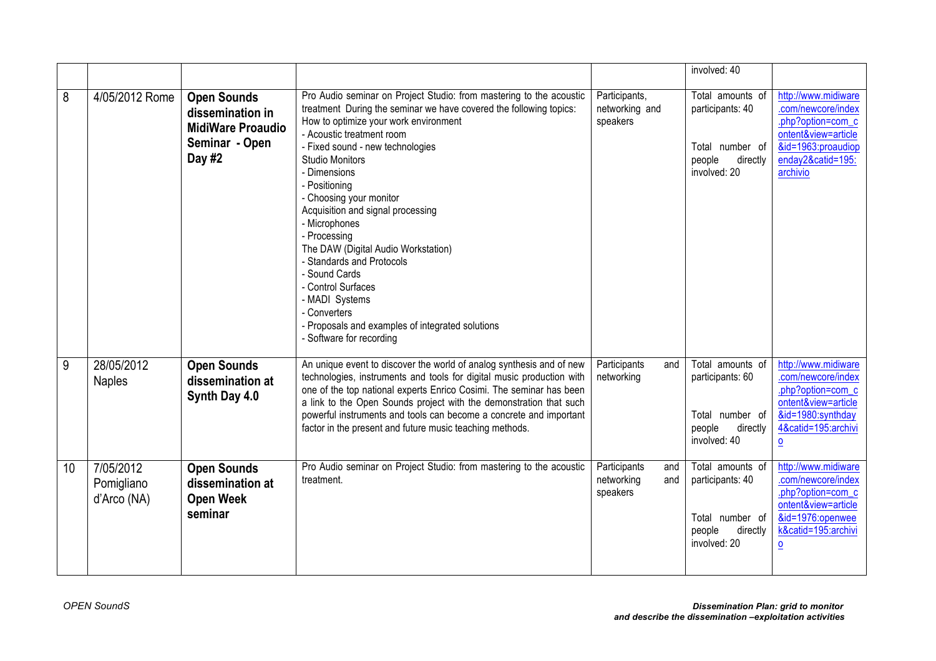|    |                                        |                                                                                                |                                                                                                                                                                                                                                                                                                                                                                                                                                                                                                                                                                                                                                              |                                                      | involved: 40                                                                                  |                                                                                                                                                              |
|----|----------------------------------------|------------------------------------------------------------------------------------------------|----------------------------------------------------------------------------------------------------------------------------------------------------------------------------------------------------------------------------------------------------------------------------------------------------------------------------------------------------------------------------------------------------------------------------------------------------------------------------------------------------------------------------------------------------------------------------------------------------------------------------------------------|------------------------------------------------------|-----------------------------------------------------------------------------------------------|--------------------------------------------------------------------------------------------------------------------------------------------------------------|
| 8  | 4/05/2012 Rome                         | <b>Open Sounds</b><br>dissemination in<br><b>MidiWare Proaudio</b><br>Seminar - Open<br>Day #2 | Pro Audio seminar on Project Studio: from mastering to the acoustic<br>treatment During the seminar we have covered the following topics:<br>How to optimize your work environment<br>- Acoustic treatment room<br>- Fixed sound - new technologies<br><b>Studio Monitors</b><br>- Dimensions<br>- Positioning<br>- Choosing your monitor<br>Acquisition and signal processing<br>- Microphones<br>- Processing<br>The DAW (Digital Audio Workstation)<br>- Standards and Protocols<br>- Sound Cards<br>- Control Surfaces<br>- MADI Systems<br>- Converters<br>- Proposals and examples of integrated solutions<br>- Software for recording | Participants,<br>networking and<br>speakers          | Total amounts of<br>participants: 40<br>Total number of<br>directly<br>people<br>involved: 20 | http://www.midiware<br>.com/newcore/index<br>.php?option=com c<br>ontent&view=article<br>&id=1963:proaudiop<br>enday2&catid=195:<br>archivio                 |
| 9  | 28/05/2012<br><b>Naples</b>            | <b>Open Sounds</b><br>dissemination at<br>Synth Day 4.0                                        | An unique event to discover the world of analog synthesis and of new<br>technologies, instruments and tools for digital music production with<br>one of the top national experts Enrico Cosimi. The seminar has been<br>a link to the Open Sounds project with the demonstration that such<br>powerful instruments and tools can become a concrete and important<br>factor in the present and future music teaching methods.                                                                                                                                                                                                                 | Participants<br>and<br>networking                    | Total amounts of<br>participants: 60<br>Total number of<br>people<br>directly<br>involved: 40 | http://www.midiware<br>.com/newcore/index<br>.php?option=com_c<br>ontent&view=article<br>&id=1980:synthday<br>4&catid=195:archivi<br>$\overline{\mathsf{o}}$ |
| 10 | 7/05/2012<br>Pomigliano<br>d'Arco (NA) | <b>Open Sounds</b><br>dissemination at<br><b>Open Week</b><br>seminar                          | Pro Audio seminar on Project Studio: from mastering to the acoustic<br>treatment.                                                                                                                                                                                                                                                                                                                                                                                                                                                                                                                                                            | Participants<br>and<br>networking<br>and<br>speakers | Total amounts of<br>participants: 40<br>Total number of<br>directly<br>people<br>involved: 20 | http://www.midiware<br>.com/newcore/index<br>.php?option=com_c<br>ontent&view=article<br>&id=1976:openwee<br>k&catid=195:archivi<br>$\overline{\mathbf{0}}$  |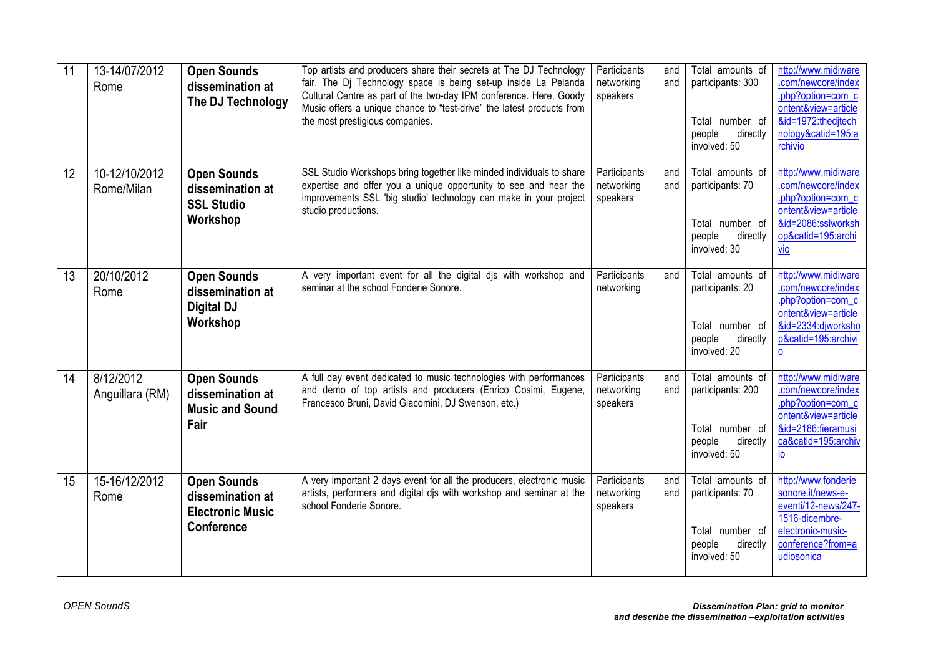| 11 | 13-14/07/2012<br>Rome        | <b>Open Sounds</b><br>dissemination at<br>The DJ Technology                            | Top artists and producers share their secrets at The DJ Technology<br>fair. The Dj Technology space is being set-up inside La Pelanda<br>Cultural Centre as part of the two-day IPM conference. Here, Goody<br>Music offers a unique chance to "test-drive" the latest products from<br>the most prestigious companies. | Participants<br>networking<br>speakers | Total amounts of<br>and<br>participants: 300<br>and<br>Total number of<br>people<br>directly<br>involved: 50 | http://www.midiware<br>.com/newcore/index<br>.php?option=com_c<br>ontent&view=article<br>&id=1972:thedjtech<br>nology&catid=195:a<br>rchivio       |
|----|------------------------------|----------------------------------------------------------------------------------------|-------------------------------------------------------------------------------------------------------------------------------------------------------------------------------------------------------------------------------------------------------------------------------------------------------------------------|----------------------------------------|--------------------------------------------------------------------------------------------------------------|----------------------------------------------------------------------------------------------------------------------------------------------------|
| 12 | 10-12/10/2012<br>Rome/Milan  | <b>Open Sounds</b><br>dissemination at<br><b>SSL Studio</b><br>Workshop                | SSL Studio Workshops bring together like minded individuals to share<br>expertise and offer you a unique opportunity to see and hear the<br>improvements SSL 'big studio' technology can make in your project<br>studio productions.                                                                                    | Participants<br>networking<br>speakers | Total amounts of<br>and<br>and<br>participants: 70<br>Total number of<br>people<br>directly<br>involved: 30  | http://www.midiware<br>.com/newcore/index<br>.php?option=com_c<br>ontent&view=article<br>&id=2086:sslworksh<br>op&catid=195:archi<br>vio           |
| 13 | 20/10/2012<br>Rome           | <b>Open Sounds</b><br>dissemination at<br><b>Digital DJ</b><br>Workshop                | A very important event for all the digital dis with workshop and<br>seminar at the school Fonderie Sonore.                                                                                                                                                                                                              | Participants<br>networking             | Total amounts of<br>and<br>participants: 20<br>Total number of<br>people<br>directly<br>involved: 20         | http://www.midiware<br>.com/newcore/index<br>.php?option=com_c<br>ontent&view=article<br>&id=2334:djworksho<br>p&catid=195:archivi<br>$\mathbf{o}$ |
| 14 | 8/12/2012<br>Anguillara (RM) | <b>Open Sounds</b><br>dissemination at<br><b>Music and Sound</b><br>Fair               | A full day event dedicated to music technologies with performances<br>and demo of top artists and producers (Enrico Cosimi, Eugene,<br>Francesco Bruni, David Giacomini, DJ Swenson, etc.)                                                                                                                              | Participants<br>networking<br>speakers | Total amounts of<br>and<br>participants: 200<br>and<br>Total number of<br>directly<br>people<br>involved: 50 | http://www.midiware<br>.com/newcore/index<br>.php?option=com c<br>ontent&view=article<br>&id=2186:fieramusi<br>ca&catid=195:archiv<br>io           |
| 15 | 15-16/12/2012<br>Rome        | <b>Open Sounds</b><br>dissemination at<br><b>Electronic Music</b><br><b>Conference</b> | A very important 2 days event for all the producers, electronic music<br>artists, performers and digital djs with workshop and seminar at the<br>school Fonderie Sonore.                                                                                                                                                | Participants<br>networking<br>speakers | Total amounts of<br>and<br>participants: 70<br>and<br>Total number of<br>people<br>directly<br>involved: 50  | http://www.fonderie<br>sonore.it/news-e-<br>eventi/12-news/247-<br>1516-dicembre-<br>electronic-music-<br>conference?from=a<br>udiosonica          |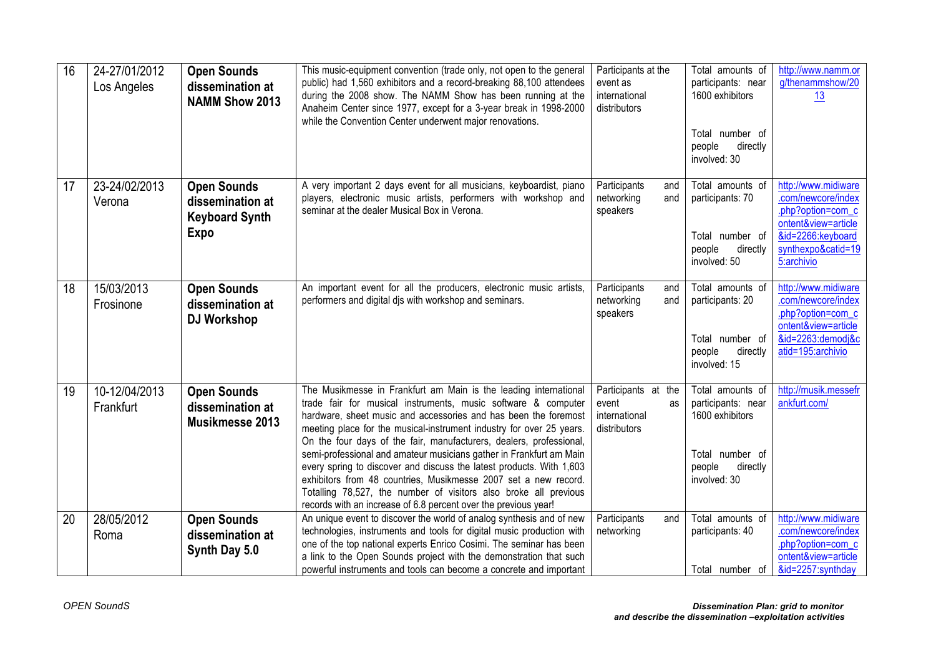| 16 | 24-27/01/2012<br>Los Angeles | <b>Open Sounds</b><br>dissemination at<br><b>NAMM Show 2013</b>                | This music-equipment convention (trade only, not open to the general<br>public) had 1,560 exhibitors and a record-breaking 88,100 attendees<br>during the 2008 show. The NAMM Show has been running at the<br>Anaheim Center since 1977, except for a 3-year break in 1998-2000<br>while the Convention Center underwent major renovations.                                                                                                                                                                                                                                                                                                                                                                  | Participants at the<br>event as<br>international<br>distributors    | Total amounts of<br>participants: near<br>1600 exhibitors<br>Total number of<br>people<br>directly<br>involved: 30 | http://www.namm.or<br>g/thenammshow/20<br>13                                                                                                   |
|----|------------------------------|--------------------------------------------------------------------------------|--------------------------------------------------------------------------------------------------------------------------------------------------------------------------------------------------------------------------------------------------------------------------------------------------------------------------------------------------------------------------------------------------------------------------------------------------------------------------------------------------------------------------------------------------------------------------------------------------------------------------------------------------------------------------------------------------------------|---------------------------------------------------------------------|--------------------------------------------------------------------------------------------------------------------|------------------------------------------------------------------------------------------------------------------------------------------------|
| 17 | 23-24/02/2013<br>Verona      | <b>Open Sounds</b><br>dissemination at<br><b>Keyboard Synth</b><br><b>Expo</b> | A very important 2 days event for all musicians, keyboardist, piano<br>players, electronic music artists, performers with workshop and<br>seminar at the dealer Musical Box in Verona.                                                                                                                                                                                                                                                                                                                                                                                                                                                                                                                       | Participants<br>and<br>networking<br>and<br>speakers                | Total amounts of<br>participants: 70<br>Total number of<br>people<br>directly<br>involved: 50                      | http://www.midiware<br>.com/newcore/index<br>.php?option=com_c<br>ontent&view=article<br>&id=2266:keyboard<br>synthexpo&catid=19<br>5:archivio |
| 18 | 15/03/2013<br>Frosinone      | <b>Open Sounds</b><br>dissemination at<br>DJ Workshop                          | An important event for all the producers, electronic music artists,<br>performers and digital dis with workshop and seminars.                                                                                                                                                                                                                                                                                                                                                                                                                                                                                                                                                                                | Participants<br>and<br>networking<br>and<br>speakers                | Total amounts of<br>participants: 20<br>Total number of<br>people<br>directly<br>involved: 15                      | http://www.midiware<br>.com/newcore/index<br>.php?option=com_c<br>ontent&view=article<br>&id=2263:demodj&c<br>atid=195:archivio                |
| 19 | 10-12/04/2013<br>Frankfurt   | <b>Open Sounds</b><br>dissemination at<br>Musikmesse 2013                      | The Musikmesse in Frankfurt am Main is the leading international<br>trade fair for musical instruments, music software & computer<br>hardware, sheet music and accessories and has been the foremost<br>meeting place for the musical-instrument industry for over 25 years.<br>On the four days of the fair, manufacturers, dealers, professional,<br>semi-professional and amateur musicians gather in Frankfurt am Main<br>every spring to discover and discuss the latest products. With 1,603<br>exhibitors from 48 countries, Musikmesse 2007 set a new record.<br>Totalling 78,527, the number of visitors also broke all previous<br>records with an increase of 6.8 percent over the previous year! | Participants at the<br>event<br>as<br>international<br>distributors | Total amounts of<br>participants: near<br>1600 exhibitors<br>Total number of<br>people<br>directly<br>involved: 30 | http://musik.messefr<br>ankfurt.com/                                                                                                           |
| 20 | 28/05/2012<br>Roma           | <b>Open Sounds</b><br>dissemination at<br>Synth Day 5.0                        | An unique event to discover the world of analog synthesis and of new<br>technologies, instruments and tools for digital music production with<br>one of the top national experts Enrico Cosimi. The seminar has been<br>a link to the Open Sounds project with the demonstration that such<br>powerful instruments and tools can become a concrete and important                                                                                                                                                                                                                                                                                                                                             | Participants<br>and<br>networking                                   | Total amounts of<br>participants: 40<br>Total number of                                                            | http://www.midiware<br>.com/newcore/index<br>.php?option=com_c<br>ontent&view=article<br>&id=2257:synthday                                     |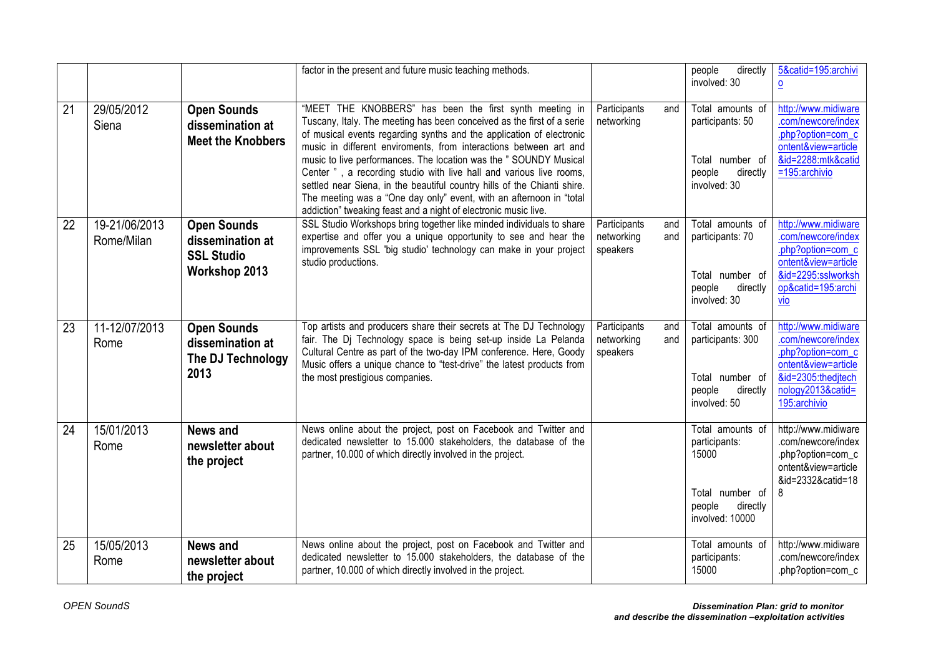|    |                             |                                                                              | factor in the present and future music teaching methods.                                                                                                                                                                                                                                                                                                                                                                                                                                                                                                                                                                                        |                                                      | people<br>directly<br>involved: 30                                                                     | 5&catid=195:archivi<br>0                                                                                                                         |
|----|-----------------------------|------------------------------------------------------------------------------|-------------------------------------------------------------------------------------------------------------------------------------------------------------------------------------------------------------------------------------------------------------------------------------------------------------------------------------------------------------------------------------------------------------------------------------------------------------------------------------------------------------------------------------------------------------------------------------------------------------------------------------------------|------------------------------------------------------|--------------------------------------------------------------------------------------------------------|--------------------------------------------------------------------------------------------------------------------------------------------------|
| 21 | 29/05/2012<br>Siena         | <b>Open Sounds</b><br>dissemination at<br><b>Meet the Knobbers</b>           | "MEET THE KNOBBERS" has been the first synth meeting in<br>Tuscany, Italy. The meeting has been conceived as the first of a serie<br>of musical events regarding synths and the application of electronic<br>music in different enviroments, from interactions between art and<br>music to live performances. The location was the " SOUNDY Musical<br>Center", a recording studio with live hall and various live rooms,<br>settled near Siena, in the beautiful country hills of the Chianti shire.<br>The meeting was a "One day only" event, with an afternoon in "total<br>addiction" tweaking feast and a night of electronic music live. | Participants<br>and<br>networking                    | Total amounts of<br>participants: 50<br>Total number of<br>people<br>directly<br>involved: 30          | http://www.midiware<br>.com/newcore/index<br>.php?option=com_c<br>ontent&view=article<br>&id=2288:mtk&catid<br>=195:archivio                     |
| 22 | 19-21/06/2013<br>Rome/Milan | <b>Open Sounds</b><br>dissemination at<br><b>SSL Studio</b><br>Workshop 2013 | SSL Studio Workshops bring together like minded individuals to share<br>expertise and offer you a unique opportunity to see and hear the<br>improvements SSL 'big studio' technology can make in your project<br>studio productions.                                                                                                                                                                                                                                                                                                                                                                                                            | Participants<br>and<br>networking<br>and<br>speakers | Total amounts of<br>participants: 70<br>Total number of<br>people<br>directly<br>involved: 30          | http://www.midiware<br>.com/newcore/index<br>.php?option=com c<br>ontent&view=article<br>&id=2295:sslworksh<br>op&catid=195:archi<br><b>Vio</b>  |
| 23 | 11-12/07/2013<br>Rome       | <b>Open Sounds</b><br>dissemination at<br>The DJ Technology<br>2013          | Top artists and producers share their secrets at The DJ Technology<br>fair. The Dj Technology space is being set-up inside La Pelanda<br>Cultural Centre as part of the two-day IPM conference. Here, Goody<br>Music offers a unique chance to "test-drive" the latest products from<br>the most prestigious companies.                                                                                                                                                                                                                                                                                                                         | Participants<br>and<br>networking<br>and<br>speakers | Total amounts of<br>participants: 300<br>Total number of<br>directly<br>people<br>involved: 50         | http://www.midiware<br>.com/newcore/index<br>.php?option=com c<br>ontent&view=article<br>&id=2305:thedjtech<br>nology2013&catid=<br>195:archivio |
| 24 | 15/01/2013<br>Rome          | <b>News and</b><br>newsletter about<br>the project                           | News online about the project, post on Facebook and Twitter and<br>dedicated newsletter to 15.000 stakeholders, the database of the<br>partner, 10.000 of which directly involved in the project.                                                                                                                                                                                                                                                                                                                                                                                                                                               |                                                      | Total amounts of<br>participants:<br>15000<br>Total number of<br>people<br>directly<br>involved: 10000 | http://www.midiware<br>.com/newcore/index<br>.php?option=com_c<br>ontent&view=article<br>&id=2332&catid=18<br>8                                  |
| 25 | 15/05/2013<br>Rome          | <b>News and</b><br>newsletter about<br>the project                           | News online about the project, post on Facebook and Twitter and<br>dedicated newsletter to 15.000 stakeholders, the database of the<br>partner, 10.000 of which directly involved in the project.                                                                                                                                                                                                                                                                                                                                                                                                                                               |                                                      | Total amounts of<br>participants:<br>15000                                                             | http://www.midiware<br>.com/newcore/index<br>.php?option=com_c                                                                                   |